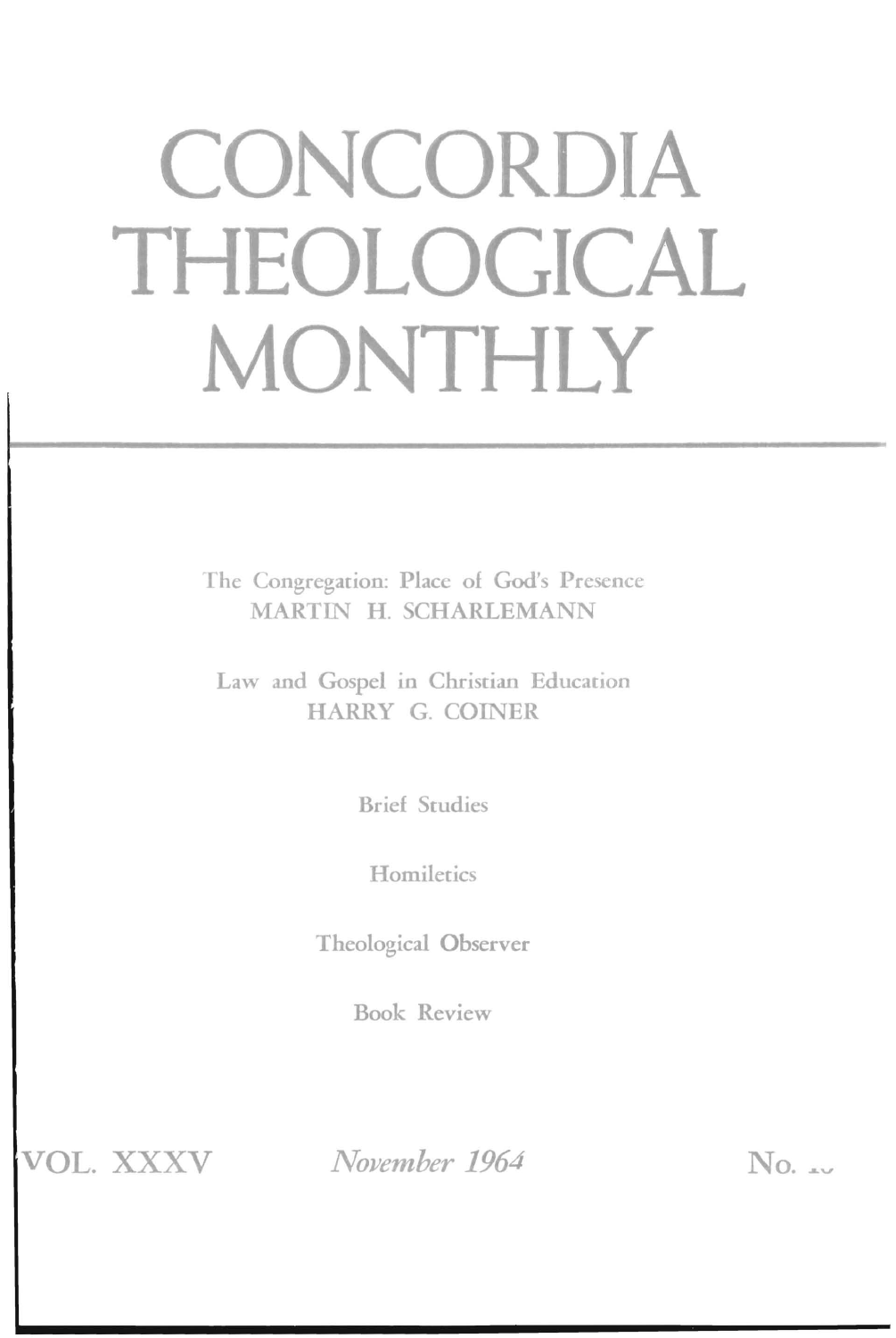# **CONCORDIA THEOLOGICAL MONTHLY**

The Congregation: Place of God's Presence MARTIN H. SCHARLEMANN

Law and Gospel in Christian Education HARRY G. COINER

Brief Studies

**Homiletics** 

Theological Observer

Book Review

VOL. XXXV

*November 1964* No. ...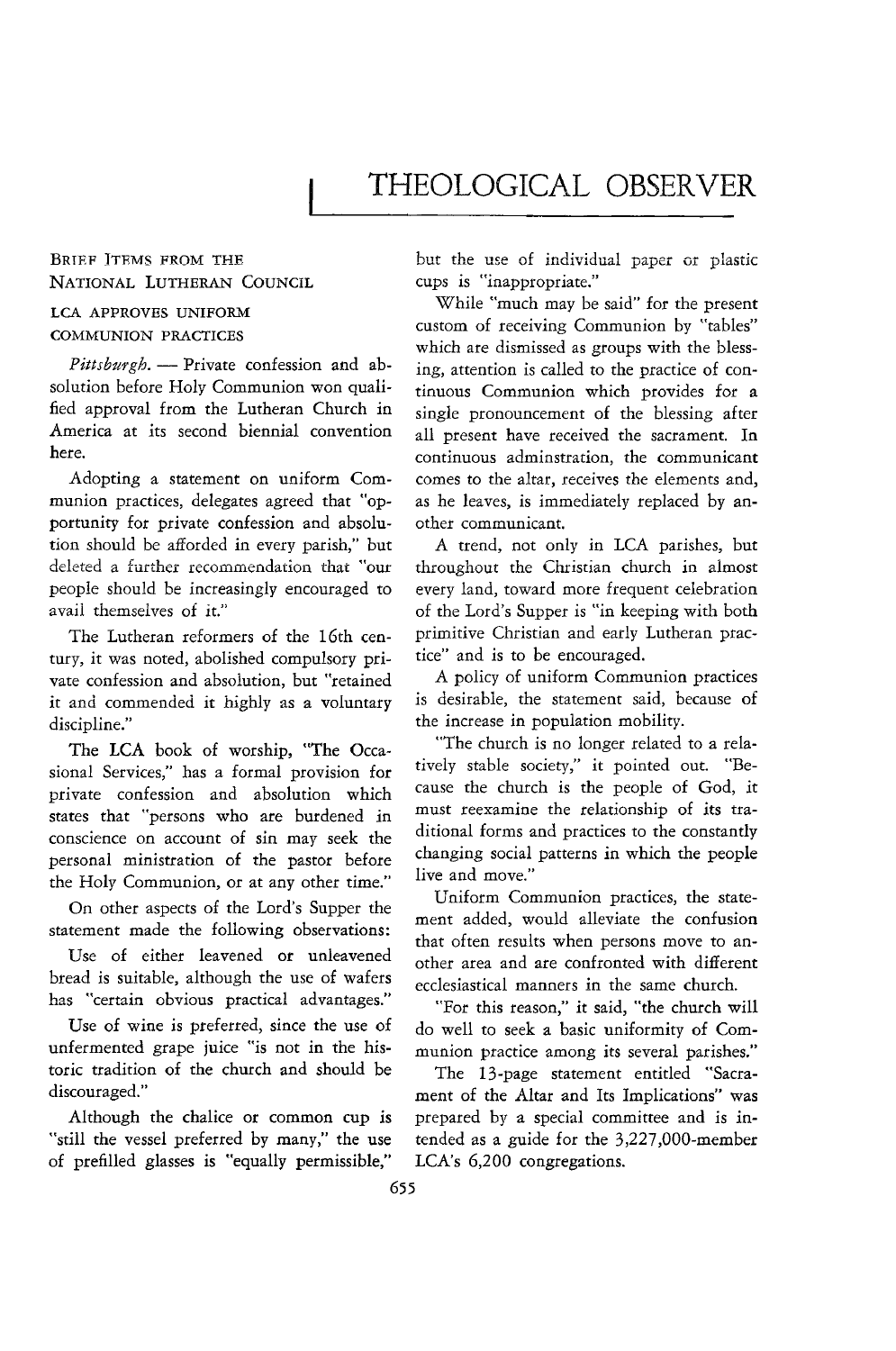# THEOLOGICAL OBSERVER

#### BRIEF ITEMS FROM THE NATIONAL LUTHERAN COUNCIL

#### LCA APPROVES UNIFORM COMMUNION PRACTICES

Pittsburgh. - Private confession and absolution before Holy Communion won qualified approval from the Lutheran Church in America at its second biennial convention here.

Adopting a statement on uniform Communion practices, delegates agreed that "opportunity for private confession and absolution should be afforded in every parish," but deleted a further recommendation that "our people should be increasingly encouraged to avail themselves of it."

The Lutheran reformers of the 16th century, it was noted, abolished compulsory private confession and absolution, but "retained it and commended it highly as a voluntary discipline."

The LCA book of worship, "The Occasional Services," has a formal provision for private confession and absolution which states that "persons who are burdened in conscience on account of sin may seek the personal ministration of the pastor before the Holy Communion, or at any other time."

On other aspects of the Lord's Supper the statement made the following observations:

Use of either leavened or unleavened bread is suitable, although the use of wafers has "certain obvious practical advantages."

Use of wine is preferred, since the use of unfermented grape juice "is not in the historic tradition of the church and should be discouraged."

Although the chalice or common cup is "still the vessel preferred by many," the use of prefilled glasses is "equally permissible,"

**but the use of individual paper or plastic**  cups is "inappropriate."

While "much may be said" for the present custom of receiving Communion by "tables" which are dismissed as groups with the blessing, attention is called to the practice of continuous Communion which provides for a single pronouncement of the blessing after all present have received the sacrament. In continuous adminstration, the communicant comes to the altar, receives the elements and, as he leaves, is immediately replaced by another communicant.

A trend, not only in LCA parishes, but throughout the Christian church in almost every land, toward more frequent celebration of the Lord's Supper is "in keeping with both primitive Christian and early Lutheran practice" and is to be encouraged.

A policy of uniform Communion practices is desirable, the statement said, because of the increase in population mobility.

"The church is no longer related to a relatively stable society," it pointed out. "Because the church is the people of God, *it*  must reexamine the relationship of its traditional forms and practices to the constantly changing social patterns in which the people live and move."

Uniform Communion practices, the statement added, would alleviate the confusion that often results when persons move to another area and are confronted with different ecclesiastical manners in the same church.

"For this reason," it said, "the church will do well to seek a basic uniformity of Communion practice among its several parishes."

The 13-page statement entitled "Sacrament of the Altar and Its Implications" was prepared by a special committee and is intended as a guide for the 3,227,000-member LCA's 6,200 congregations.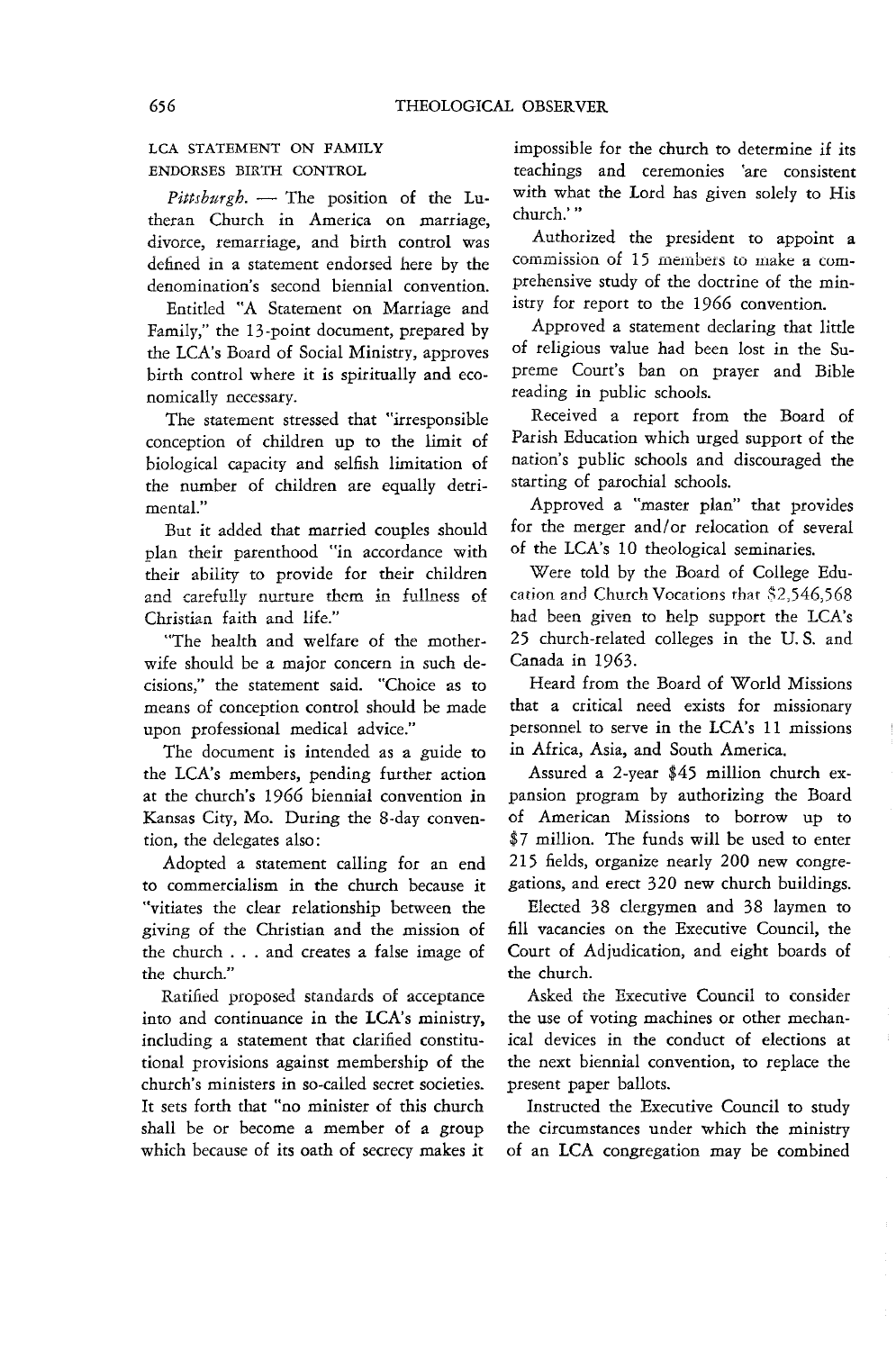### LCA STATEMENT ON FAMILY ENDORSES BIRTH CONTROL

Pittsburgh. - The position of the Lutheran Church in America on marriage, divorce, remarriage, and birth control was defined in a statement endorsed here by the denomination's second biennial convention.

Entitled "A Statement on Marriage and Family," the 13-point document, prepared by the LCA's Board of Social Ministry, approves birth control where it is spiritually and economically necessary.

The statement stressed that "irresponsible conception of children up to the limit of biological capacity and selfish limitation of the number of children are equally detrimental."

But it added that married couples should plan their parenthood "in accordance with their ability to provide for their children and carefully nurture them in fullness of Christian faith and life."

"The health and welfare of the motherwife should be a major concern in such decisions," the statement said. "Choice as to means of conception control should be made upon professional medical advice."

The document is intended as a guide to the LCA's members, pending further action at the church's 1966 biennial convention in Kansas City, Mo. During the 8-day convention, the delegates also:

Adopted a statement calling for an end to commercialism in the church because it "vitiates the clear relationship between the giving of the Christian and the mission of the church . . . and creates a false image of the church."

Ratified proposed standards of acceptance into and continuance in the LCA's ministry, including a statement that clarified constitutional provisions against membership of the church's ministers in so-called secret societies. It sets forth that "no minister of this church shall be or become a member of a group which because of its oath of secrecy makes it

impossible for the church to determine if its teachings and ceremonies 'are consistent with what the Lord has given solely to His church: "

Authorized the president to appoint a commission of 15 members to make a comprehensive study of the doctrine of the ministry for report to the 1966 convention.

Approved a statement declaring that little of religious value had been lost in the Supreme Court's ban on prayer and Bible reading in public schools.

Received a report from the Board of Parish Education which urged support of the nation's public schools and discouraged the starting of parochial schools.

Approved a "master plan" that provides for the merger and/or relocation of several of the LCA's 10 theological seminaries.

Were told by the Board of College Education and Church Vocations that \$2,546,568 had been given to help support the LCA's 25 church-related colleges in the U. S. and Canada in 1963.

Heard from the Board of World Missions that a critical need exists for missionary personnel to serve in the LCA's 11 missions in Africa, Asia, and South America.

Assured a 2-year \$45 million church expansion program by authorizing the Board of American Missions to borrow up to \$7 million. The funds will be used to enter 215 fields, organize nearly 200 new congregations, and erect 320 new church buildings.

Elected 38 clergymen and 38 laymen to fill vacancies on the Executive Council, the Court of Adjudication, and eight boards of the church.

Asked the Executive Council to consider the use of voting machines or other mechanical devices in the conduct of elections at the next biennial convention, to replace the present paper ballots.

Instructed the Executive Council to study the circumstances under which the ministry of an LCA congregation may be combined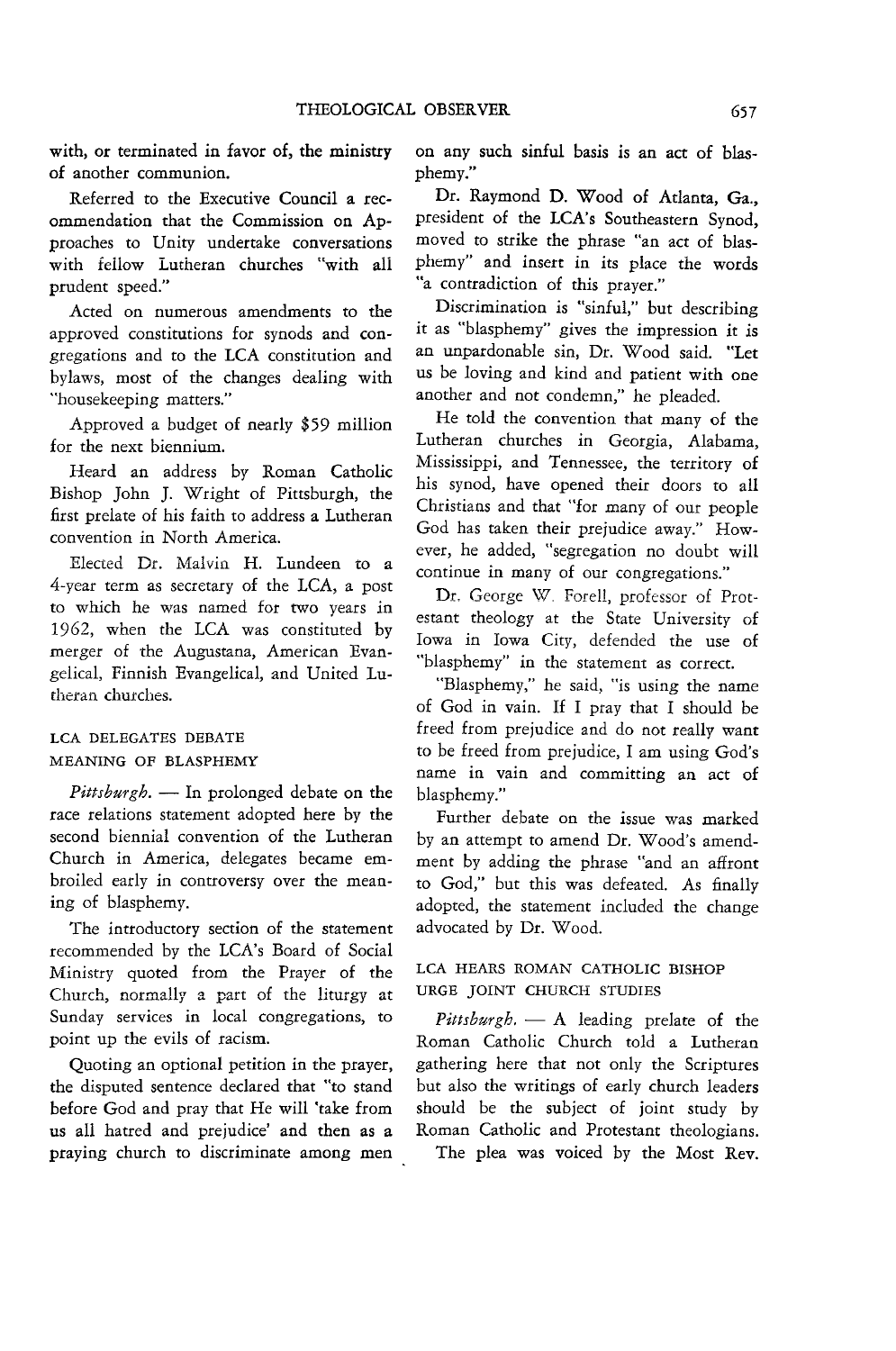with, or terminated in favor of, the ministry of another communion.

Referred to the Executive Council a recommendation that the Commission on Approaches to Unity undertake conversations with fellow Lutheran churches "with ail prudent speed."

Acted on numerous amendments to the approved constitutions for synods and congregations and to the LCA constitution and bylaws, most of the changes dealing with "housekeeping matters."

Approved a budget of nearly \$59 million for the next biennium.

Heard an address by Roman Catholic Bishop John J. Wright of Pittsburgh, the first prelate of his faith to address a Lutheran convention in North America.

Elected Dr. Malvin H. Lundeen to a 4-year term as secretary of the LCA, a post to which he was named for two years in 1962, when the LCA was constituted by merger of the Augustana, American Evangelical, Finnish Evangelical, and United Lutheran churches.

#### LCA DELEGATES DEBATE MEANING OF BLASPHEMY

Pittsburgh. - In prolonged debate on the race relations statement adopted here by the second biennial convention of the Lutheran Church in America, delegates became embroiled early in controversy over the meaning of blasphemy.

The introductory section of the statement recommended by the LCA's Board of Social Ministry quoted from the Prayer of the Church, normally a part of the liturgy at Sunday services in local congregations, to point up the evils of racism.

Quoting an optional petition in the prayer, the disputed sentence declared that "to stand before God and pray that He will 'take from us all hatred and prejudice' and then as a praying church to discriminate among men on any such sinful basis is an act of blasphemy."

Dr. Raymond D. Wood of Atlanta, Ga., president of the LCA's Southeastern Synod, moved to strike the phrase "an act of blasphemy" and insert in its place the words "a contradiction of this prayer."

Discrimination is "sinful," but describing it as "blasphemy" gives the impression it is an unpardonable sin, Dr. Wood said. "Let us be loving and kind and patient with one another and not condemn," he pleaded.

He told the convention that many of the Lutheran churches in Georgia, Alabama, Mississippi, and Tennessee, the territory of his synod, have opened their doors to all Christians and that "for many of our people God has taken their prejudice away." However, he added, "segregation no doubt will continue in many of our congregations."

Dr. George W. Forell, professor of Protestant theology at the State University of Iowa in Iowa City, defended the use of "blasphemy" in the statement as correct.

"Blasphemy," he said, "is using the name of God in vain. If I pray that I should be freed from prejudice and do not really want to be freed from prejudice, I am using God's name in vain and committing an act of blasphemy."

Further debate on the issue was marked by an attempt to amend Dr. Wood's amendment by adding the phrase "and an affront to God," but this was defeated. As finally adopted, the statement included the change advocated by Dr. Wood.

#### LCA HEARS ROMAN CATHOLIC BISHOP URGE JOINT CHURCH STUDIES

Pittsburgh. - A leading prelate of the Roman Catholic Church told a Lutheran gathering here that not only the Scriptures but also the writings of early church leaders should be the subject of joint study by Roman Catholic and Protestant theologians. The plea was voiced by the Most Rev.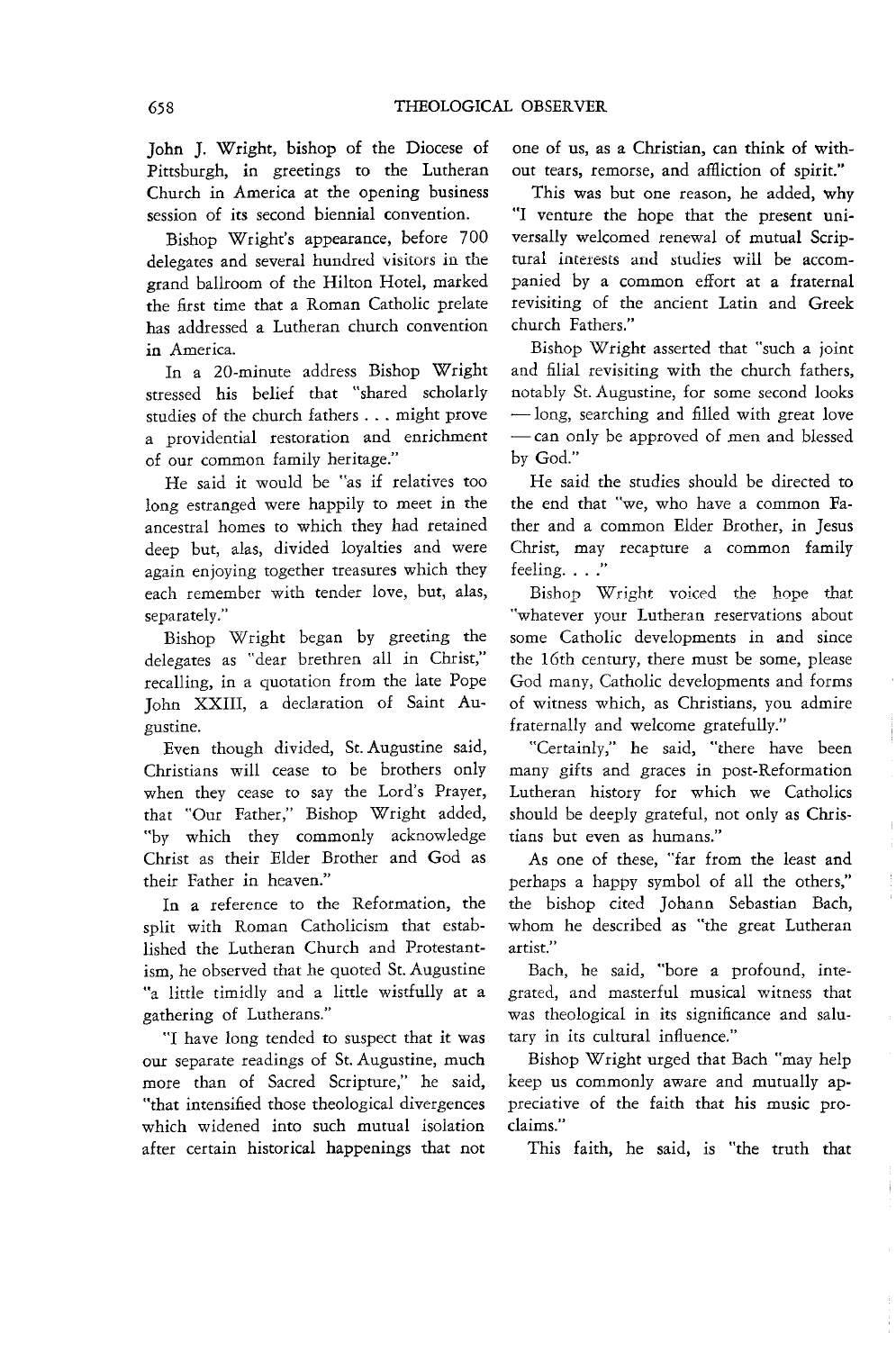John J. Wright, bishop of the Diocese of Pittsburgh, in greetings to the Lutheran Church in America at the opening business session of its second biennial convention.

Bishop Wright's appearance, before 700 delegates and several hundred visitors in the grand ballroom of the Hilton Hotel, marked the first time that a Roman Catholic prelate has addressed a Lutheran church convention in America.

In a 20-minute address Bishop Wright stressed his belief that "shared scholarly studies of the church fathers . . . might prove a providential restoration and enrichment of our common family heritage."

He said it would be "as if relatives too long estranged were happily to meet in the ancestral homes to which they had retained deep but, alas, divided loyalties and were again enjoying together treasures which they each remember with tender love, but, alas, separately."

Bishop Wright began by greeting the delegates as "dear brethren all in Christ," recalling, in a quotation from the late Pope John XXIII, a declaration of Saint Augustine.

Even though divided, St. Augustine said, Christians will cease to be brothers only when they cease to say the Lord's Prayer, that "Our Father," Bishop Wright added, "by which they commonly acknowledge Christ as their Elder Brother and God as their Father in heaven."

In a reference to the Reformation, the split with Roman Catholicism that established the Lutheran Church and Protestantism, he observed that he quoted St. Augustine "a little timidly and a little wistfully at a gathering of Lutherans."

"I have long tended to suspect that it was our separate readings of St. Augustine, much more than of Sacred Scripture," he said, "that intensified those theological divergences which widened into such mutual isolation after certain historical happenings that not one of us, as a Christian, can think of without tears, remorse, and affliction of spirit."

This was but one reason, he added, why "I venture the hope that the present universally welcomed renewal of mutual Scriptural interests and studies will be accompanied by a common effort at a fraternal revisiting of the ancient Latin and Greek church Fathers."

Bishop Wright asserted that "such a joint and filial revisiting with the church fathers, notably St. Augustine, for some second looks -long, searching and filled with great love - can only be approved of men and blessed by God."

He said the studies should be directed to the end that "we, who have a common Father and a common Elder Brother, in Jesus Christ, may recapture a common family feeling, . , ."

Bishop Wright voiced the hope that "whatever your Lutheran reservations about some Catholic developments in and since the 16th century, there must be some, please God many, Catholic developments and forms of witness which, as Christians, you admire fraternally and welcome gratefully."

"Certainly," he said, "there have been many gifts and graces in post-Reformation Lutheran history for which we Catholics should be deeply grateful, not only as Christians but even as humans."

As one of these, "far from the least and perhaps a happy symbol of all the others," the bishop cited Johann Sebastian Bach, whom he described as "the great Lutheran artist."

Bach, he said, "bore a profound, integrated, and masterful musical witness that was theological in its significance and salutary in its cultural influence."

Bishop Wright urged that Bach "may help keep us commonly aware and mutually appreciative of the faith that his music proclaims."

This faith, he said, is "the truth that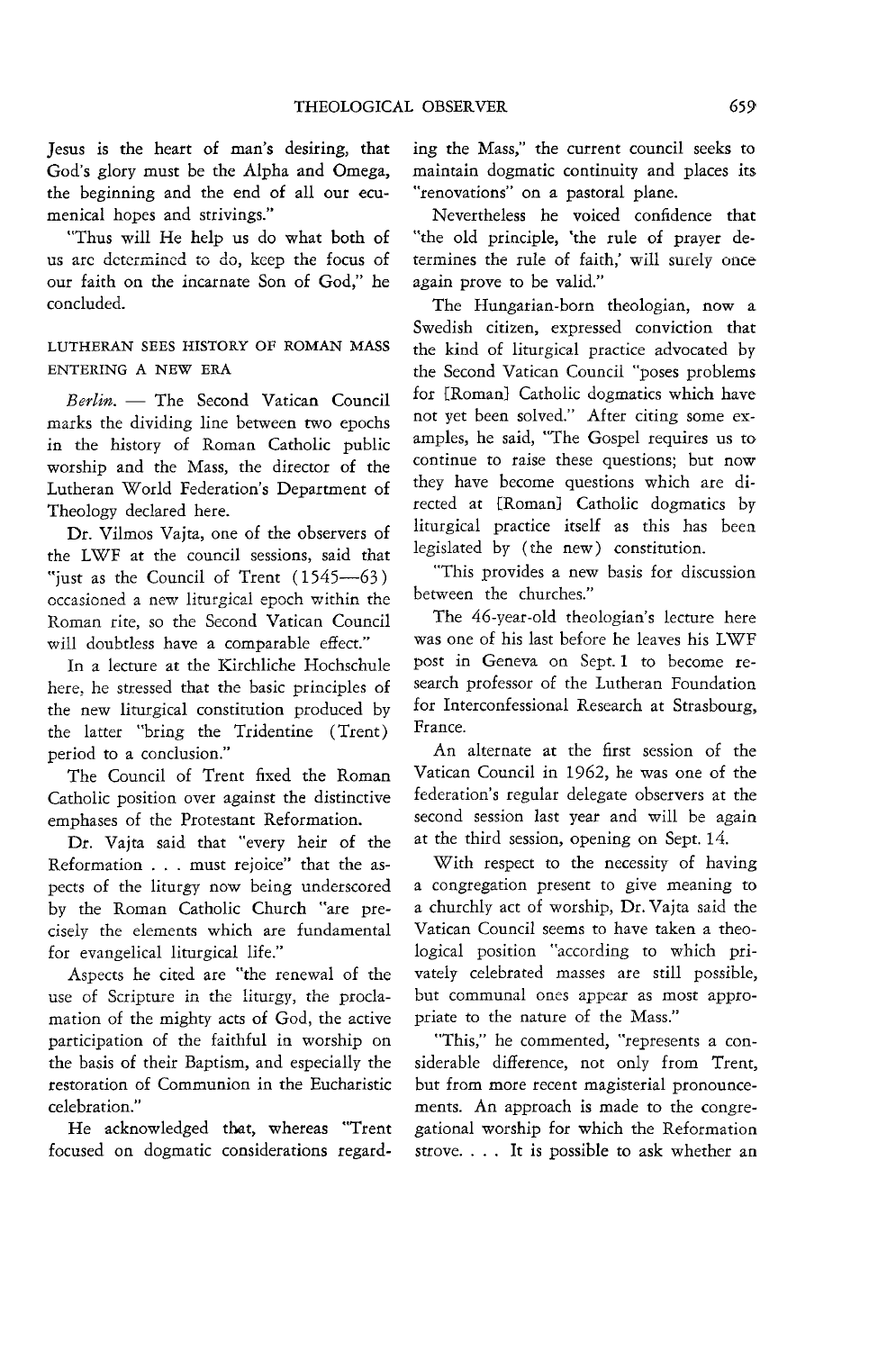Jesus is the heart of man's desiring, that God's glory must be the Alpha and Omega, the beginning and the end of all our ecumenical hopes and strivings."

"Thus will He help us do what both of us arc determined to do, keep the focus of our faith on the incarnate Son of God," he concluded.

# LUTHERAN SEES HISTORY OF ROMAN MASS ENTERING A NEW ERA

*Berlin.* - The Second Vatican Council marks the dividing line between two epochs in the history of Roman Catholic public worship and the Mass, the director of the Lutheran World Federation's Department of Theology declared here.

Dr. Vilmos Vajta, one of the observers of the LWF at the council sessions, said that "just as the Council of Trent  $(1545-63)$ **occasioned a new liturgical epoch within the** Roman rite, so the Second Vatican Council will doubtless have a comparable effect."

In a lecture at the Kirchliche Hochschule here, he stressed that the basic principles of the new liturgical constitution produced by the latter "bring the Tridentine (Trent) period to a conclusion."

The Council of Trent fixed the Roman Catholic position over against the distinctive emphases of the Protestant Reformation.

Dr. Vajta said that "every heir of the Reformation ... must rejoice" that the aspects of the liturgy now being underscored by the Roman Catholic Church "are precisely the elements which are fundamental for evangelical liturgical life."

Aspects he cited are "the renewal of the use of Scripture in the liturgy, the proclamation of the mighty acts of God, the active participation of the faithful in worship on the basis of their Baptism, and especially the restoration of Communion in the Eucharistic celebration."

He acknowledged that, whereas "Trent focused on dogmatic considerations regarding the Mass," the current council seeks to maintain dogmatic continuity and places its "renovations" on a pastoral plane.

Nevertheless he voiced confidence that "the old principle, 'the rule of prayer determines the rule of faith,' will surely once again prove to be valid."

The Hungarian-born theologian, now a Swedish citizen, expressed conviction that the kind of liturgical practice advocated by the Second Vatican Council "poses problems for [Roman] Catholic dogmatics which have not yet been solved." After citing some examples, he said, "The Gospel requires us to continue to raise these questions; but now they have become questions which are directed at [Roman] Catholic dogmatics by liturgical practice itself as this has been legislated by (the new) constitution.

"This provides a new basis for discussion between the churches."

The 46-year-old theologian's lecture here was one of his last before he leaves his LWF post in Geneva on Sept. 1 to become research professor of the Lutheran Foundation for Interconfessional Research at Strasbourg, France.

An alternate at the first session of the Vatican Council in 1962, he was one of the federation's regular delegate observers at the second session last year and will be again at the third session, opening on Sept. 14.

With respect to the necessity of having a congregation present to give meaning to a churchly act of worship, Dr. Vajta said the Vatican Council seems to have taken a theological position "according to which privately celebrated masses are still possible, but communal ones appear as most appropriate to the nature of the Mass."

"This," he commented, "represents a considerable difference, not only from Trent, but from more recent magisterial pronouncements. An approach is made to the congregational worship for which the Reformation strove. . . . It is possible to ask whether an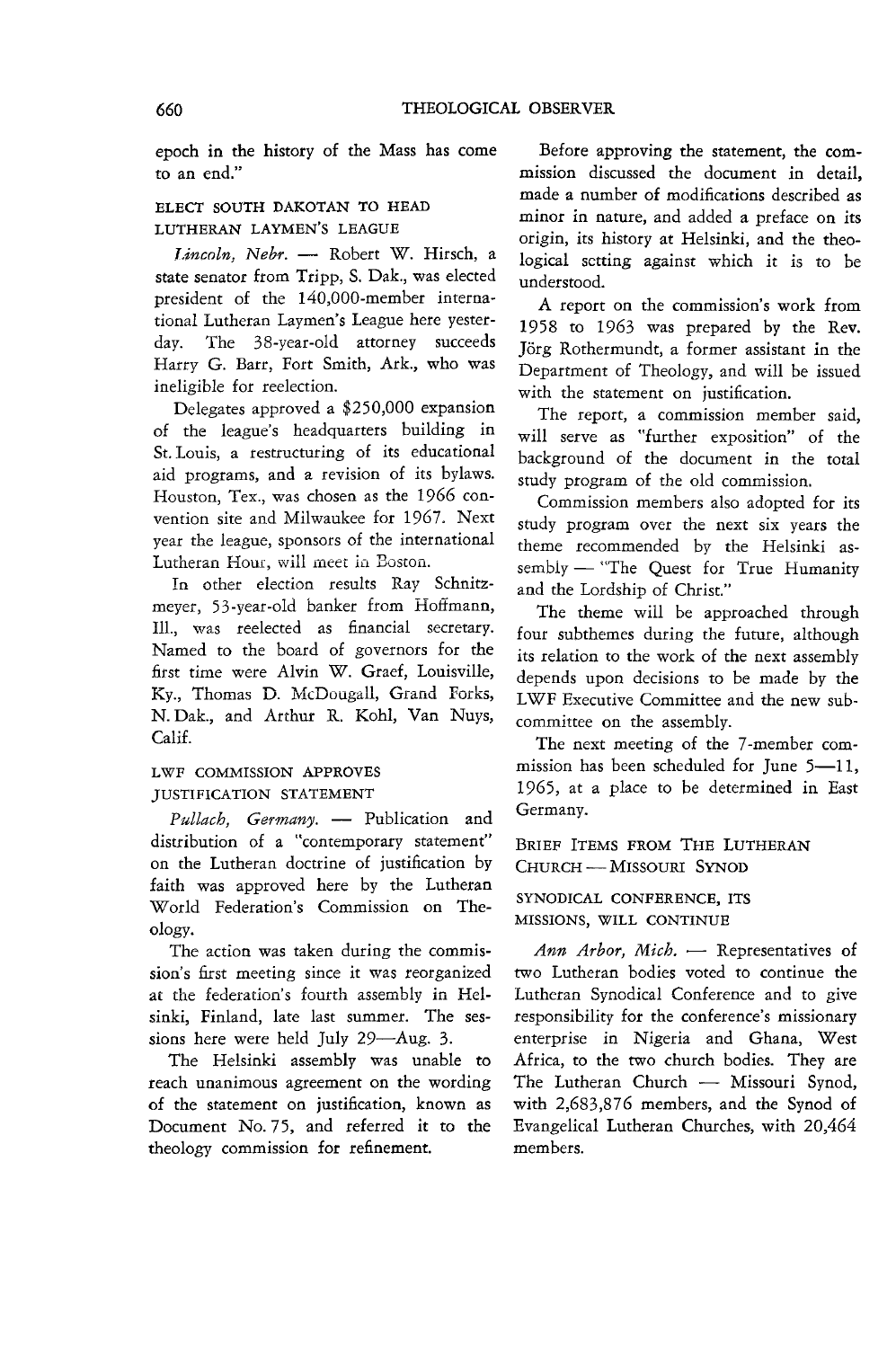epoch m the history of the Mass has come to an end."

# ELECT SOUTH DAKOTAN TO HEAD LUTHERAN LAYMEN'S LEAGUE

*Lincoln, Nebr.* - Robert W. Hirsch, a state senator from Tripp, S. Dak., was elected president of the 140,000-member international Lutheran Laymen's League here yesterday. The 38-year-old attorney succeeds Harry G. Barr, Fort Smith, Ark., who was ineligible for reelection.

Delegates approved a \$250,000 expansion of the league's headquarters building in St. Louis, a restructuring of its educational aid programs, and a revision of its bylaws. Houston, Tex., was chosen as the 1966 convention site and Milwaukee for 1967. Next year the league, sponsors of the international Lutheran Hour, will meet in Boston.

In other election results Ray Schnitzmeyer, 53-year-old banker from Hoffmann, Ill., was reelected as financial secretary. Named to the board of governors for the first time were Alvin W. Graef, Louisville, **Ky., Thomas D. IvlcDougall, Grand Porks,**  N. Dak., and Arthur R. Kohl, Van Nuys, Calif.

# LWF COMMISSION APPROVES JUSTIFICATION STATEMENT

Pullach, Germany. - Publication and distribution of a "contemporary statement" on the Lutheran doctrine of justification by faith was approved here by the Lutheran World Federation's Commission on Theology.

The action was taken during the commission's first meeting since it was reorganized at the federation's fourth assembly in Helsinki, Finland, late last summer. The sessions here were held July 29-Aug. 3.

The Helsinki assembly was unable to reach unanimous agreement on the wording of the statement on justification, known as Document No. 75, and referred it to the theology commission for refinement.

Before approving the statement, the commission discussed the document in detail, made a number of modifications described as minor in nature, and added a preface on its origin, its history at Helsinki, and the theological setting against which *it* is to be understood.

A report on the commission's work from 1958 to 1963 was prepared by the Rev. Jorg Rothermundt, a former assistant in the Department of Theology, and will be issued with the statement on justification.

The report, a commission member said, will serve as "further exposition" of the background of the document in the total study program of the old commission.

Commission members also adopted for its study program over the next six years the theme recommended by the Helsinki assembly - "The Quest for True Humanity and the Lordship of Christ."

The theme will be approached through four subthemes during the future, although its relation to the work of the next assembly depends upon decisions to be made by the LWF Executive Committee and the new sub*committee* on the assembly.

The next meeting of the 7 -member commission has been scheduled for June  $5-11$ , 1965, at a place to be determined in East Germany.

BRIEF ITEMS FROM THE LUTHERAN CHURCH - MISSOURI SYNOD

SYNODICAL CONFERENCE, ITS MISSIONS, WILL CONTINUE

*Ann Arbor, Mich.* - Representatives of two Lutheran bodies voted to continue the Lutheran Synodical Conference and to give responsibility for the conference's missionary enterprise in Nigeria and Ghana, West Africa, to the two church bodies. They are The Lutheran Church - Missouri Synod, with 2,683,876 members, and the Synod of Evangelical Lutheran Churches, with 20,464 members.